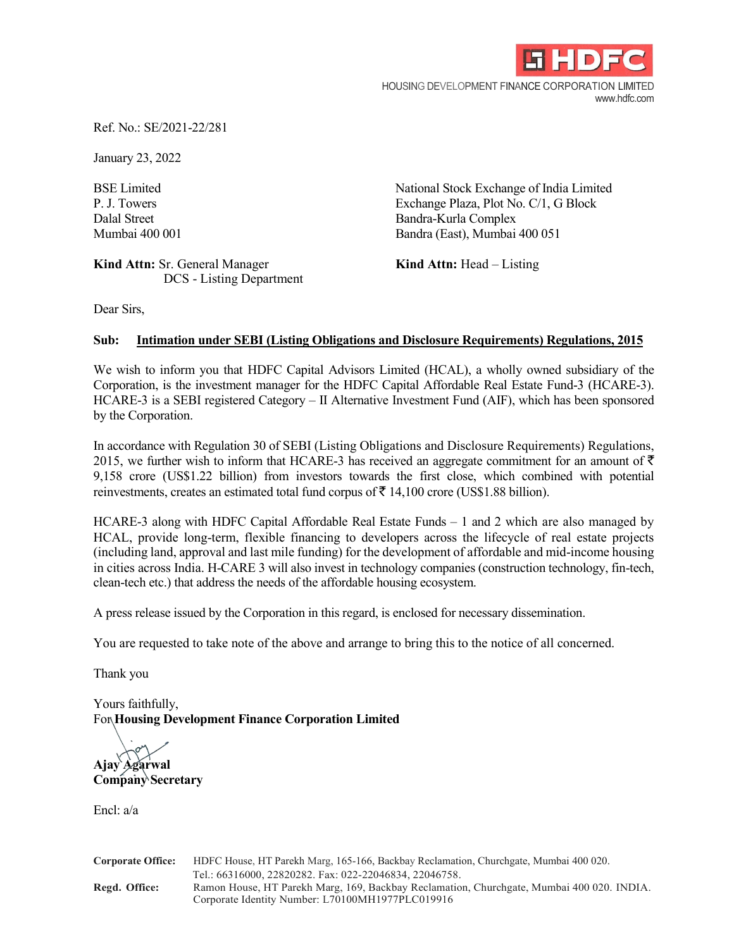

HOUSING DEVELOPMENT FINANCE CORPORATION LIMITED www.hdfc.com

Ref. No.: SE/2021-22/281

January 23, 2022

**Kind Attn:** Sr. General Manager **Kind Attn:** Head – Listing DCS - Listing Department

BSE Limited National Stock Exchange of India Limited P. J. Towers Exchange Plaza, Plot No. C/1, G Block Dalal Street Bandra-Kurla Complex Mumbai 400 001 Bandra (East), Mumbai 400 051

Dear Sirs,

## **Sub: Intimation under SEBI (Listing Obligations and Disclosure Requirements) Regulations, 2015**

We wish to inform you that HDFC Capital Advisors Limited (HCAL), a wholly owned subsidiary of the Corporation, is the investment manager for the HDFC Capital Affordable Real Estate Fund-3 (HCARE-3). HCARE-3 is a SEBI registered Category – II Alternative Investment Fund (AIF), which has been sponsored by the Corporation.

In accordance with Regulation 30 of SEBI (Listing Obligations and Disclosure Requirements) Regulations, 2015, we further wish to inform that HCARE-3 has received an aggregate commitment for an amount of  $\bar{\tau}$ 9,158 crore (US\$1.22 billion) from investors towards the first close, which combined with potential reinvestments, creates an estimated total fund corpus of  $\bar{z}$  14,100 crore (US\$1.88 billion).

HCARE-3 along with HDFC Capital Affordable Real Estate Funds – 1 and 2 which are also managed by HCAL, provide long-term, flexible financing to developers across the lifecycle of real estate projects (including land, approval and last mile funding) for the development of affordable and mid-income housing in cities across India. H-CARE 3 will also invest in technology companies (construction technology, fin-tech, clean-tech etc.) that address the needs of the affordable housing ecosystem.

A press release issued by the Corporation in this regard, is enclosed for necessary dissemination.

You are requested to take note of the above and arrange to bring this to the notice of all concerned.

Thank you

Yours faithfully, For **Housing Development Finance Corporation Limited**

**Ajay Agarwal Company Secretary**

Encl: a/a

| <b>Corporate Office:</b> | HDFC House, HT Parekh Marg, 165-166, Backbay Reclamation, Churchgate, Mumbai 400 020.     |
|--------------------------|-------------------------------------------------------------------------------------------|
|                          | Tel.: 66316000, 22820282. Fax: 022-22046834, 22046758.                                    |
| Regd. Office:            | Ramon House, HT Parekh Marg, 169, Backbay Reclamation, Churchgate, Mumbai 400 020. INDIA. |
|                          | Corporate Identity Number: L70100MH1977PLC019916                                          |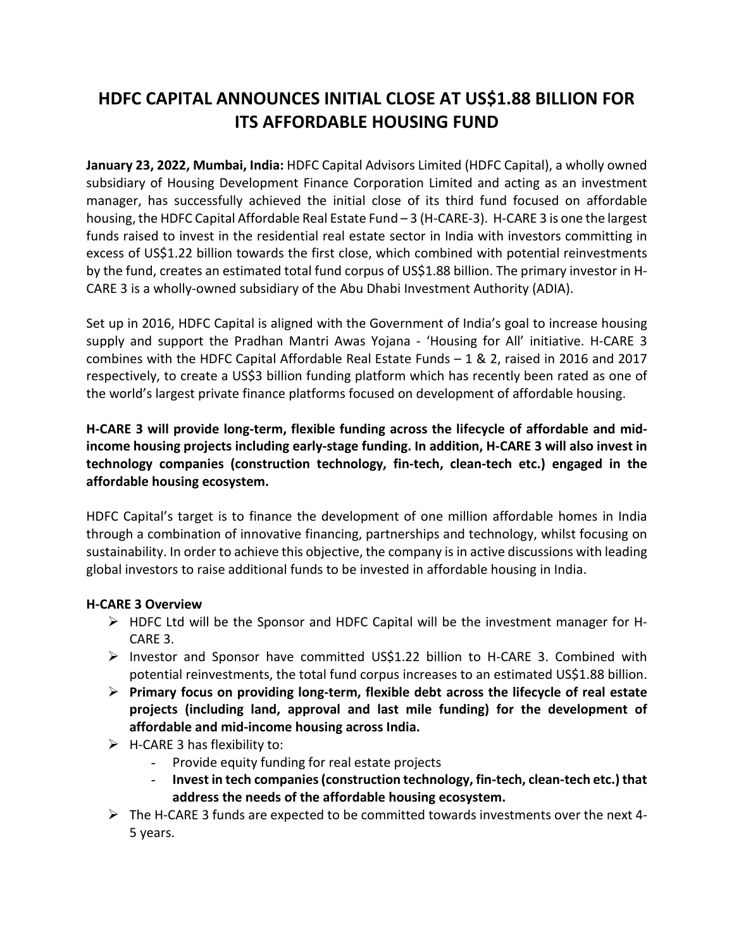# **HDFC CAPITAL ANNOUNCES INITIAL CLOSE AT US\$1.88 BILLION FOR ITS AFFORDABLE HOUSING FUND**

**January 23, 2022, Mumbai, India:** HDFC Capital Advisors Limited (HDFC Capital), a wholly owned subsidiary of Housing Development Finance Corporation Limited and acting as an investment manager, has successfully achieved the initial close of its third fund focused on affordable housing, the HDFC Capital Affordable Real Estate Fund – 3 (H-CARE-3). H-CARE 3 is one the largest funds raised to invest in the residential real estate sector in India with investors committing in excess of US\$1.22 billion towards the first close, which combined with potential reinvestments by the fund, creates an estimated total fund corpus of US\$1.88 billion. The primary investor in H-CARE 3 is a wholly-owned subsidiary of the Abu Dhabi Investment Authority (ADIA).

Set up in 2016, HDFC Capital is aligned with the Government of India's goal to increase housing supply and support the Pradhan Mantri Awas Yojana - 'Housing for All' initiative. H-CARE 3 combines with the HDFC Capital Affordable Real Estate Funds – 1 & 2, raised in 2016 and 2017 respectively, to create a US\$3 billion funding platform which has recently been rated as one of the world's largest private finance platforms focused on development of affordable housing.

**H-CARE 3 will provide long-term, flexible funding across the lifecycle of affordable and midincome housing projects including early-stage funding. In addition, H-CARE 3 will also invest in technology companies (construction technology, fin-tech, clean-tech etc.) engaged in the affordable housing ecosystem.**

HDFC Capital's target is to finance the development of one million affordable homes in India through a combination of innovative financing, partnerships and technology, whilst focusing on sustainability. In order to achieve this objective, the company is in active discussions with leading global investors to raise additional funds to be invested in affordable housing in India.

## **H-CARE 3 Overview**

- $\triangleright$  HDFC Ltd will be the Sponsor and HDFC Capital will be the investment manager for H-CARE 3.
- $\triangleright$  Investor and Sponsor have committed US\$1.22 billion to H-CARE 3. Combined with potential reinvestments, the total fund corpus increases to an estimated US\$1.88 billion.
- **Primary focus on providing long-term, flexible debt across the lifecycle of real estate projects (including land, approval and last mile funding) for the development of affordable and mid-income housing across India.**
- $\triangleright$  H-CARE 3 has flexibility to:
	- Provide equity funding for real estate projects
	- **Invest in tech companies (construction technology, fin-tech, clean-tech etc.) that address the needs of the affordable housing ecosystem.**
- $\triangleright$  The H-CARE 3 funds are expected to be committed towards investments over the next 4-5 years.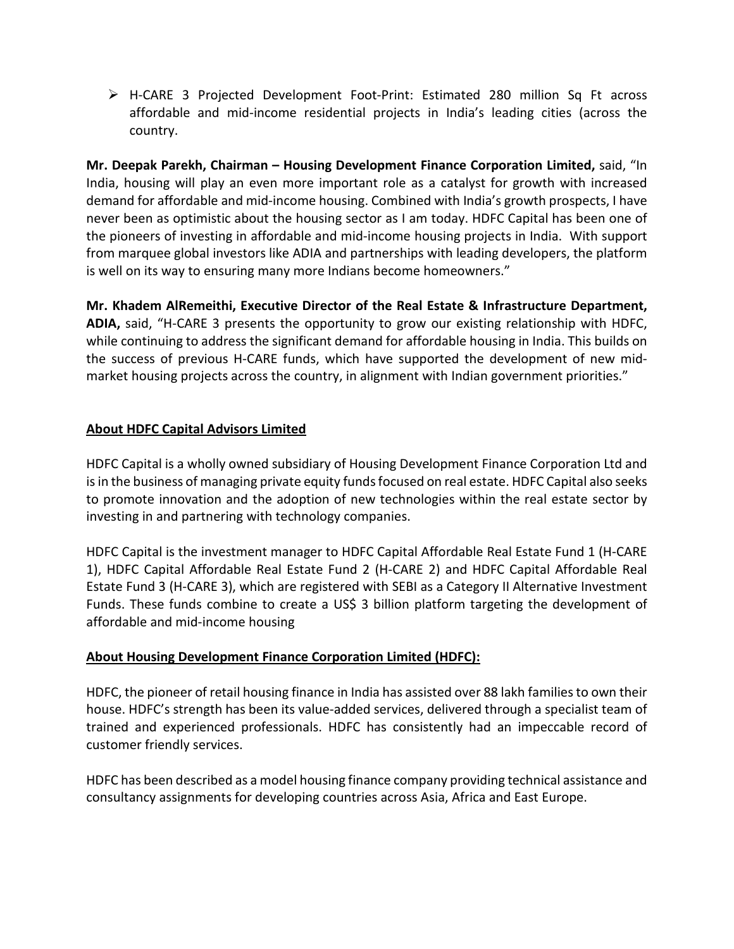H-CARE 3 Projected Development Foot-Print: Estimated 280 million Sq Ft across affordable and mid-income residential projects in India's leading cities (across the country.

**Mr. Deepak Parekh, Chairman – Housing Development Finance Corporation Limited,** said, "In India, housing will play an even more important role as a catalyst for growth with increased demand for affordable and mid-income housing. Combined with India's growth prospects, I have never been as optimistic about the housing sector as I am today. HDFC Capital has been one of the pioneers of investing in affordable and mid-income housing projects in India. With support from marquee global investors like ADIA and partnerships with leading developers, the platform is well on its way to ensuring many more Indians become homeowners."

**Mr. Khadem AlRemeithi, Executive Director of the Real Estate & Infrastructure Department, ADIA,** said, "H-CARE 3 presents the opportunity to grow our existing relationship with HDFC, while continuing to address the significant demand for affordable housing in India. This builds on the success of previous H-CARE funds, which have supported the development of new midmarket housing projects across the country, in alignment with Indian government priorities."

# **About HDFC Capital Advisors Limited**

HDFC Capital is a wholly owned subsidiary of Housing Development Finance Corporation Ltd and is in the business of managing private equity funds focused on real estate. HDFC Capital also seeks to promote innovation and the adoption of new technologies within the real estate sector by investing in and partnering with technology companies.

HDFC Capital is the investment manager to HDFC Capital Affordable Real Estate Fund 1 (H-CARE 1), HDFC Capital Affordable Real Estate Fund 2 (H-CARE 2) and HDFC Capital Affordable Real Estate Fund 3 (H-CARE 3), which are registered with SEBI as a Category II Alternative Investment Funds. These funds combine to create a US\$ 3 billion platform targeting the development of affordable and mid-income housing

## **About Housing Development Finance Corporation Limited (HDFC):**

HDFC, the pioneer of retail housing finance in India has assisted over 88 lakh families to own their house. HDFC's strength has been its value-added services, delivered through a specialist team of trained and experienced professionals. HDFC has consistently had an impeccable record of customer friendly services.

HDFC has been described as a model housing finance company providing technical assistance and consultancy assignments for developing countries across Asia, Africa and East Europe.